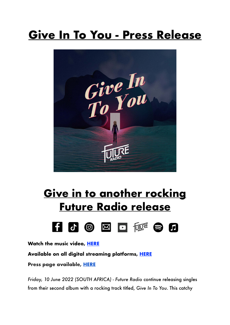## **Give In To You - Press Release**



## **Give in to another rocking Future Radio release**



**Watch the music video, [HERE](https://youtu.be/V6zp6hZy9J8)**

**Available on all digital streaming platforms, [HERE](https://distrokid.com/hyperfollow/futureradio/give-in-to-you)**

**Press page available, [HERE](https://futureradioband.co.za/press-3/)**

*Friday, 10 June 2022 (SOUTH AFRICA)* - *Future Radio* continue releasing singles from their second album with a rocking track titled, *Give In To You*. This catchy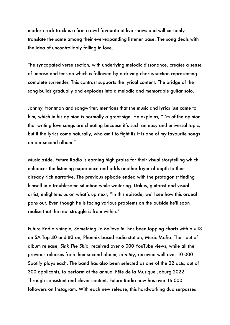modern rock track is a firm crowd favourite at live shows and will certainly translate the same among their ever-expanding listener base. The song deals with the idea of uncontrollably falling in love.

The syncopated verse section, with underlying melodic dissonance, creates a sense of unease and tension which is followed by a driving chorus section representing complete surrender. This contrast supports the lyrical content. The bridge of the song builds gradually and explodes into a melodic and memorable guitar solo.

Johnny, frontman and songwriter, mentions that the music and lyrics just came to him, which in his opinion is normally a great sign. He explains, "I'm of the opinion that writing love songs are cheating because it's such an easy and universal topic, but if the lyrics come naturally, who am I to fight it? It is one of my favourite songs on our second album."

Music aside, Future Radio is earning high praise for their visual storytelling which enhances the listening experience and adds another layer of depth to their already rich narrative. The previous episode ended with the protagonist finding himself in a troublesome situation while waitering. Drikus, guitarist and visual artist, enlightens us on what's up next; "In this episode, we'll see how this ordeal pans out. Even though he is facing various problems on the outside he'll soon realise that the real struggle is from within."

Future Radio's single, *Something To Believe In*, has been topping charts with a #13 on SA Top 40 and #3 on, Phoenix based radio station, Music Mafia. Their out of album release, *Sink The Ship*, received over 6 000 YouTube views, while all the previous releases from their second album, *Identity*, received well over 10 000 Spotify plays each. The band has also been selected as one of the 22 acts, out of 300 applicants, to perform at the annual Fête de la Musique Joburg 2022. Through consistent and clever content, Future Radio now has over 16 000 followers on Instagram. With each new release, this hardworking duo surpasses